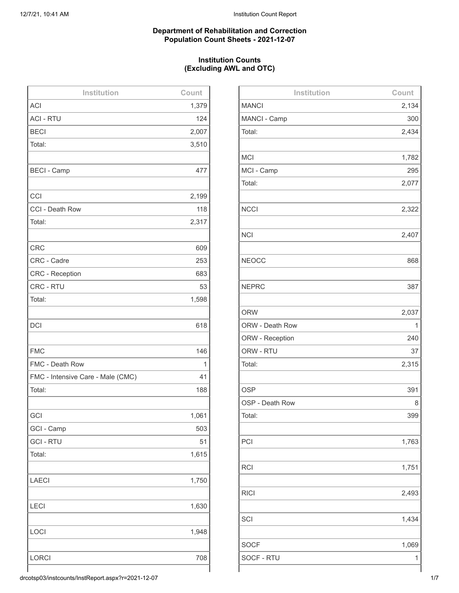### **Department of Rehabilitation and Correction Population Count Sheets - 2021-12-07**

# **Institution Counts (Excluding AWL and OTC)**

| Institution                       | Count |
|-----------------------------------|-------|
| <b>ACI</b>                        | 1,379 |
| <b>ACI - RTU</b>                  | 124   |
| <b>BECI</b>                       | 2,007 |
| Total:                            | 3,510 |
|                                   |       |
| <b>BECI - Camp</b>                | 477   |
|                                   |       |
| CCI                               | 2,199 |
| CCI - Death Row                   | 118   |
| Total:                            | 2,317 |
|                                   |       |
| <b>CRC</b>                        | 609   |
| CRC - Cadre                       | 253   |
| CRC - Reception                   | 683   |
| CRC - RTU                         | 53    |
| Total:                            | 1,598 |
|                                   |       |
| <b>DCI</b>                        | 618   |
|                                   |       |
| <b>FMC</b>                        | 146   |
| FMC - Death Row                   | 1     |
| FMC - Intensive Care - Male (CMC) | 41    |
| Total:                            | 188   |
|                                   |       |
| GCI                               | 1,061 |
| GCI - Camp                        | 503   |
| <b>GCI-RTU</b>                    | 51    |
| Total:                            | 1,615 |
|                                   |       |
| <b>LAECI</b>                      | 1,750 |
|                                   |       |
| <b>LECI</b>                       | 1,630 |
|                                   |       |
| LOCI                              | 1,948 |
|                                   |       |
| <b>LORCI</b>                      | 708   |
|                                   |       |

| Institution     | Count |
|-----------------|-------|
| <b>MANCI</b>    | 2,134 |
| MANCI - Camp    | 300   |
| Total:          | 2,434 |
|                 |       |
| <b>MCI</b>      | 1,782 |
| MCI - Camp      | 295   |
| Total:          | 2,077 |
|                 |       |
| <b>NCCI</b>     | 2,322 |
|                 |       |
| <b>NCI</b>      | 2,407 |
|                 |       |
| <b>NEOCC</b>    | 868   |
| <b>NEPRC</b>    | 387   |
|                 |       |
| <b>ORW</b>      | 2,037 |
| ORW - Death Row | 1     |
| ORW - Reception | 240   |
| ORW - RTU       | 37    |
| Total:          | 2,315 |
|                 |       |
| <b>OSP</b>      | 391   |
| OSP - Death Row | 8     |
| Total:          | 399   |
|                 |       |
| PCI             | 1,763 |
|                 |       |
| <b>RCI</b>      | 1,751 |
|                 |       |
| <b>RICI</b>     | 2,493 |
|                 |       |
| SCI             | 1,434 |
| <b>SOCF</b>     | 1,069 |
| SOCF - RTU      | 1     |
|                 |       |

drcotsp03/instcounts/InstReport.aspx?r=2021-12-07 1/7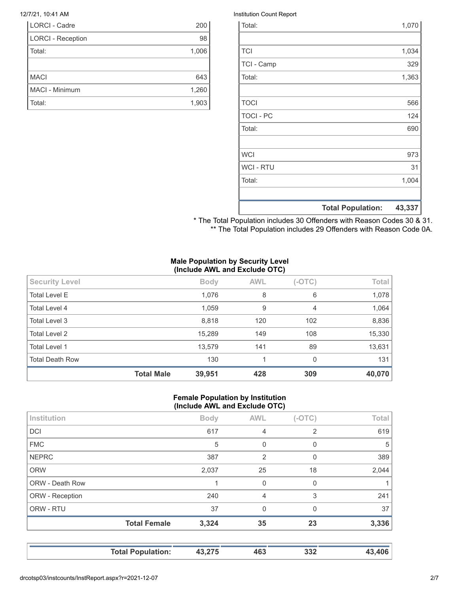| <b>LORCI - Cadre</b>     | 200   |
|--------------------------|-------|
| <b>LORCI - Reception</b> | 98    |
| Total:                   | 1,006 |
|                          |       |
| <b>MACI</b>              | 643   |
| MACI - Minimum           | 1,260 |
| Total:                   | 1,903 |

#### 12/7/21, 10:41 AM Institution Count Report

|                  | <b>Total Population:</b> | 43,337 |
|------------------|--------------------------|--------|
|                  |                          |        |
| Total:           |                          | 1,004  |
| <b>WCI - RTU</b> |                          | 31     |
| <b>WCI</b>       |                          | 973    |
|                  |                          |        |
| Total:           |                          | 690    |
| <b>TOCI - PC</b> |                          | 124    |
| <b>TOCI</b>      |                          | 566    |
|                  |                          |        |
| Total:           |                          | 1,363  |
| TCI - Camp       |                          | 329    |
| <b>TCI</b>       |                          | 1,034  |
|                  |                          |        |
| Total:           |                          | 1,070  |

\* The Total Population includes 30 Offenders with Reason Codes 30 & 31. \*\* The Total Population includes 29 Offenders with Reason Code 0A.

#### **Male Population by Security Level (Include AWL and Exclude OTC)**

| <b>Security Level</b>  |                   | <b>Body</b> | <b>AWL</b> | $(-OTC)$ | Total  |
|------------------------|-------------------|-------------|------------|----------|--------|
| <b>Total Level E</b>   |                   | 1,076       | 8          | 6        | 1,078  |
| Total Level 4          |                   | 1,059       | 9          | 4        | 1,064  |
| <b>Total Level 3</b>   |                   | 8,818       | 120        | 102      | 8,836  |
| <b>Total Level 2</b>   |                   | 15,289      | 149        | 108      | 15,330 |
| <b>Total Level 1</b>   |                   | 13,579      | 141        | 89       | 13,631 |
| <b>Total Death Row</b> |                   | 130         | 1          | $\Omega$ | 131    |
|                        | <b>Total Male</b> | 39,951      | 428        | 309      | 40,070 |

#### **Female Population by Institution (Include AWL and Exclude OTC)**

| Institution     |                     | <b>Body</b> | <b>AWL</b>     | $(-OTC)$       | Total |
|-----------------|---------------------|-------------|----------------|----------------|-------|
| <b>DCI</b>      |                     | 617         | 4              | $\overline{2}$ | 619   |
| <b>FMC</b>      |                     | 5           | 0              | 0              | 5     |
| <b>NEPRC</b>    |                     | 387         | 2              | $\mathbf{0}$   | 389   |
| <b>ORW</b>      |                     | 2,037       | 25             | 18             | 2,044 |
| ORW - Death Row |                     |             | 0              | 0              |       |
| ORW - Reception |                     | 240         | $\overline{4}$ | 3              | 241   |
| ORW - RTU       |                     | 37          | $\Omega$       | $\Omega$       | 37    |
|                 | <b>Total Female</b> | 3,324       | 35             | 23             | 3,336 |
|                 |                     |             |                |                |       |
|                 |                     |             |                |                |       |

**Total Population: 43,275 463 332 43,406**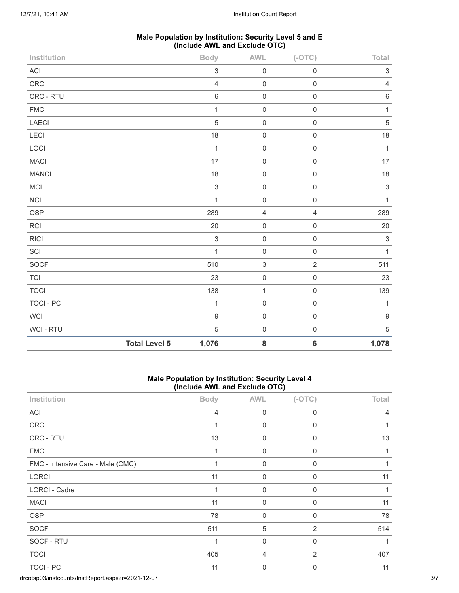| Male Population by Institution: Security Level 5 and E |
|--------------------------------------------------------|
| (Include AWL and Exclude OTC)                          |

| Institution                |                      | <b>Body</b>               | <b>AWL</b>                | $(-OTC)$            | Total            |
|----------------------------|----------------------|---------------------------|---------------------------|---------------------|------------------|
| $\boldsymbol{\mathsf{AC}}$ |                      | $\ensuremath{\mathsf{3}}$ | $\mathsf{O}\xspace$       | $\mathbf 0$         | 3                |
| CRC                        |                      | $\sqrt{4}$                | $\mathsf{O}\xspace$       | $\mathbf 0$         | 4                |
| CRC - RTU                  |                      | $\,6\,$                   | $\mbox{O}$                | $\mathbf 0$         | $\,$ 6 $\,$      |
| ${\sf FMC}$                |                      | $\mathbf{1}$              | $\mbox{O}$                | $\mathbf 0$         | $\mathbf{1}$     |
| LAECI                      |                      | $\overline{5}$            | $\mathbf 0$               | $\mathsf 0$         | $\sqrt{5}$       |
| LECI                       |                      | 18                        | $\mathbf 0$               | $\mathbf 0$         | 18               |
| LOCI                       |                      | $\mathbf{1}$              | $\mbox{O}$                | $\mathbf 0$         | $\mathbf{1}$     |
| <b>MACI</b>                |                      | 17                        | $\mbox{O}$                | $\mathbf 0$         | 17               |
| <b>MANCI</b>               |                      | 18                        | $\mbox{O}$                | $\mbox{O}$          | 18               |
| MCI                        |                      | $\sqrt{3}$                | $\mbox{O}$                | $\mathsf 0$         | $\sqrt{3}$       |
| <b>NCI</b>                 |                      | $\mathbf{1}$              | $\mathbf 0$               | $\mathbf 0$         | $\mathbf{1}$     |
| <b>OSP</b>                 |                      | 289                       | $\sqrt{4}$                | $\sqrt{4}$          | 289              |
| <b>RCI</b>                 |                      | 20                        | $\mathsf{O}\xspace$       | $\mathbf 0$         | 20               |
| <b>RICI</b>                |                      | $\sqrt{3}$                | $\mbox{O}$                | $\mathbf 0$         | $\sqrt{3}$       |
| SCI                        |                      | $\mathbf{1}$              | $\mbox{O}$                | $\mathsf 0$         | $\mathbf{1}$     |
| SOCF                       |                      | 510                       | $\ensuremath{\mathsf{3}}$ | $\overline{2}$      | 511              |
| <b>TCI</b>                 |                      | 23                        | $\mathbf 0$               | $\mathsf 0$         | 23               |
| <b>TOCI</b>                |                      | 138                       | $\mathbf 1$               | $\mathbf 0$         | 139              |
| <b>TOCI - PC</b>           |                      | $\mathbf{1}$              | $\mbox{O}$                | $\mathsf 0$         | $\mathbf 1$      |
| WCI                        |                      | $\mathsf g$               | $\mbox{O}$                | $\mathsf{O}\xspace$ | $\boldsymbol{9}$ |
| WCI - RTU                  |                      | $\sqrt{5}$                | $\mathbf 0$               | $\mathsf{O}\xspace$ | $\,$ 5 $\,$      |
|                            | <b>Total Level 5</b> | 1,076                     | ${\bf 8}$                 | $\bf 6$             | 1,078            |

### **Male Population by Institution: Security Level 4 (Include AWL and Exclude OTC)**

| Institution                       | <b>Body</b>    | <b>AWL</b>  | $(-OTC)$       | Total |
|-----------------------------------|----------------|-------------|----------------|-------|
| ACI                               | $\overline{4}$ | $\mathbf 0$ | $\Omega$       | 4     |
| CRC                               | 1              | 0           | $\mathbf 0$    |       |
| CRC - RTU                         | 13             | $\mathbf 0$ | 0              | 13    |
| <b>FMC</b>                        | 1              | $\Omega$    | $\mathbf{0}$   |       |
| FMC - Intensive Care - Male (CMC) | 1              | $\mathbf 0$ | $\mathbf 0$    |       |
| LORCI                             | 11             | $\mathbf 0$ | 0              | 11    |
| LORCI - Cadre                     | 1              | $\Omega$    | $\Omega$       |       |
| <b>MACI</b>                       | 11             | 0           | $\mathbf 0$    | 11    |
| <b>OSP</b>                        | 78             | $\mathbf 0$ | 0              | 78    |
| <b>SOCF</b>                       | 511            | 5           | $\overline{2}$ | 514   |
| SOCF - RTU                        | 1              | 0           | $\mathbf 0$    | 1     |
| <b>TOCI</b>                       | 405            | 4           | 2              | 407   |
| TOCI - PC                         | 11             | $\mathbf 0$ | 0              | 11    |

drcotsp03/instcounts/InstReport.aspx?r=2021-12-07 3/7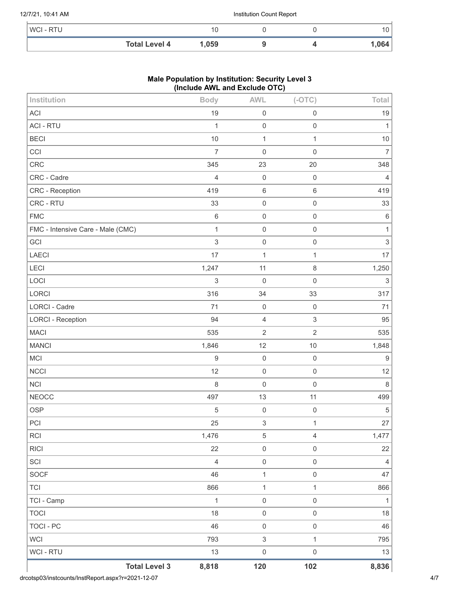#### 12/7/21, 10:41 AM Institution Count Report

| WCI - RTU |                      | 10   |  | 10   |
|-----------|----------------------|------|--|------|
|           | <b>Total Level 4</b> | ,059 |  | ,064 |

### **Male Population by Institution: Security Level 3 (Include AWL and Exclude OTC)**

| Institution                       | <b>Body</b>      | <b>AWL</b>                | $(-OTC)$            | Total                     |
|-----------------------------------|------------------|---------------------------|---------------------|---------------------------|
| <b>ACI</b>                        | 19               | $\mathbf 0$               | $\mathsf{O}\xspace$ | 19                        |
| <b>ACI - RTU</b>                  | 1                | $\mathbf 0$               | $\mathsf{O}\xspace$ | 1                         |
| <b>BECI</b>                       | 10               | $\mathbf{1}$              | $\mathbf{1}$        | 10                        |
| CCI                               | $\overline{7}$   | $\mathbf 0$               | $\mathbf 0$         | $\overline{7}$            |
| CRC                               | 345              | 23                        | 20                  | 348                       |
| CRC - Cadre                       | $\overline{4}$   | $\mathbf 0$               | $\,0\,$             | $\overline{4}$            |
| CRC - Reception                   | 419              | $\,6\,$                   | 6                   | 419                       |
| CRC - RTU                         | 33               | $\mathbf 0$               | $\mathsf{O}\xspace$ | 33                        |
| <b>FMC</b>                        | $\,6\,$          | $\mathbf 0$               | $\mathsf{O}\xspace$ | $\,6\,$                   |
| FMC - Intensive Care - Male (CMC) | $\mathbf{1}$     | $\mathbf 0$               | $\mathbf 0$         | 1                         |
| GCI                               | $\mathfrak{S}$   | $\mathbf 0$               | $\mathsf{O}\xspace$ | $\sqrt{3}$                |
| <b>LAECI</b>                      | 17               | $\mathbf{1}$              | $\mathbf{1}$        | 17                        |
| <b>LECI</b>                       | 1,247            | 11                        | 8                   | 1,250                     |
| LOCI                              | $\mathfrak{S}$   | $\mathbf 0$               | $\mathbf 0$         | $\ensuremath{\mathsf{3}}$ |
| <b>LORCI</b>                      | 316              | 34                        | 33                  | 317                       |
| <b>LORCI - Cadre</b>              | 71               | $\mathbf 0$               | $\mathbf 0$         | 71                        |
| <b>LORCI - Reception</b>          | 94               | $\overline{4}$            | $\mathfrak{S}$      | 95                        |
| <b>MACI</b>                       | 535              | $\sqrt{2}$                | $\overline{2}$      | 535                       |
| <b>MANCI</b>                      | 1,846            | 12                        | 10                  | 1,848                     |
| MCI                               | $\boldsymbol{9}$ | $\mathbf 0$               | $\mathbf 0$         | $9\,$                     |
| <b>NCCI</b>                       | 12               | $\mathbf 0$               | $\mathbf 0$         | 12                        |
| <b>NCI</b>                        | $\,8\,$          | $\mathbf 0$               | $\mathbf 0$         | $\,8\,$                   |
| <b>NEOCC</b>                      | 497              | 13                        | 11                  | 499                       |
| <b>OSP</b>                        | $\sqrt{5}$       | $\mathbf 0$               | $\mathbf 0$         | $\,$ 5 $\,$               |
| PCI                               | 25               | $\mathsf 3$               | $\mathbf 1$         | 27                        |
| <b>RCI</b>                        | 1,476            | $\sqrt{5}$                | $\overline{4}$      | 1,477                     |
| <b>RICI</b>                       | 22               | $\mathsf{O}\xspace$       | $\mathsf{O}\xspace$ | 22                        |
| SCI                               | $\overline{4}$   | $\mathbf 0$               | $\mathsf{O}\xspace$ | 4                         |
| <b>SOCF</b>                       | 46               | $\mathbf{1}$              | $\mathsf{O}\xspace$ | 47                        |
| <b>TCI</b>                        | 866              | $\mathbf{1}$              | $\mathbf{1}$        | 866                       |
| TCI - Camp                        | $\mathbf{1}$     | $\mathbf 0$               | $\mathsf{O}\xspace$ | $\mathbf{1}$              |
| <b>TOCI</b>                       | 18               | $\mathbf 0$               | $\mathsf{O}\xspace$ | 18                        |
| <b>TOCI - PC</b>                  | 46               | $\mathbf 0$               | $\mathsf{O}\xspace$ | 46                        |
| <b>WCI</b>                        | 793              | $\ensuremath{\mathsf{3}}$ | $\mathbf{1}$        | 795                       |
| WCI - RTU                         | 13               | $\mathbf 0$               | $\mathsf{O}\xspace$ | 13                        |
| <b>Total Level 3</b>              | 8,818            | 120                       | 102                 | 8,836                     |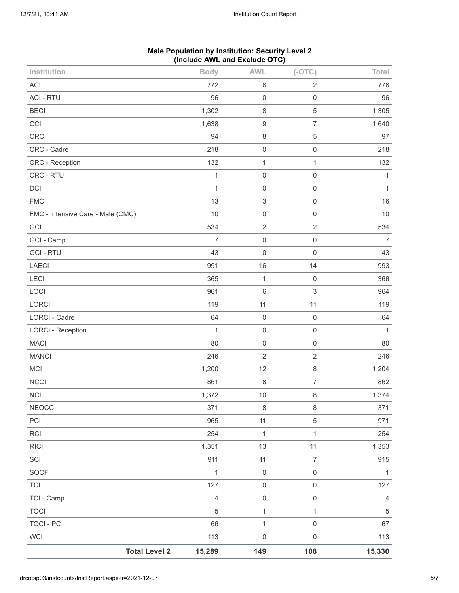| <b>Total Level 2</b>              | 15,289         | 149                       | 108                       | 15,330         |
|-----------------------------------|----------------|---------------------------|---------------------------|----------------|
| <b>WCI</b>                        | 113            | $\mathbf 0$               | $\mathsf{O}\xspace$       | 113            |
| <b>TOCI - PC</b>                  | 66             | $\mathbf{1}$              | $\mathbf 0$               | 67             |
| <b>TOCI</b>                       | $\sqrt{5}$     | $\mathbf{1}$              | $\mathbf{1}$              | $\,$ 5 $\,$    |
| TCI - Camp                        | $\overline{4}$ | $\mathbf 0$               | $\mathbf 0$               | $\overline{4}$ |
| <b>TCI</b>                        | 127            | $\mathbf 0$               | $\mathsf 0$               | 127            |
| SOCF                              | $\mathbf{1}$   | $\mathbf 0$               | $\mathbf 0$               | $\mathbf{1}$   |
| SCI                               | 911            | 11                        | $\overline{7}$            | 915            |
| <b>RICI</b>                       | 1,351          | 13                        | 11                        | 1,353          |
| RCI                               | 254            | $\mathbf 1$               | $\mathbf{1}$              | 254            |
| PCI                               | 965            | 11                        | $\sqrt{5}$                | 971            |
| <b>NEOCC</b>                      | 371            | $\,8\,$                   | $\,8\,$                   | 371            |
| <b>NCI</b>                        | 1,372          | 10                        | $\,8\,$                   | 1,374          |
| <b>NCCI</b>                       | 861            | $\,8\,$                   | $\overline{7}$            | 862            |
| MCI                               | 1,200          | 12                        | $\,8\,$                   | 1,204          |
| <b>MANCI</b>                      | 246            | $\sqrt{2}$                | $\sqrt{2}$                | 246            |
| <b>MACI</b>                       | 80             | $\mathbf 0$               | $\mathbf 0$               | 80             |
| <b>LORCI - Reception</b>          | $\mathbf{1}$   | $\mathbf 0$               | $\mathbf 0$               | $\mathbf{1}$   |
| <b>LORCI - Cadre</b>              | 64             | $\mathbf 0$               | $\mathbf 0$               | 64             |
| LORCI                             | 119            | 11                        | 11                        | 119            |
| LOCI                              | 961            | $\,6\,$                   | $\sqrt{3}$                | 964            |
| <b>LECI</b>                       | 365            | $\mathbf{1}$              | $\mathbf 0$               | 366            |
| LAECI                             | 991            | 16                        | 14                        | 993            |
| <b>GCI - RTU</b>                  | 43             | $\mathbf 0$               | $\mathbf 0$               | 43             |
| GCI - Camp                        | $\overline{7}$ | $\mathbf 0$               | $\mathbf 0$               | $\overline{7}$ |
| GCI                               | 534            | $\sqrt{2}$                | $\overline{2}$            | 534            |
| FMC - Intensive Care - Male (CMC) | 10             | $\mathbf 0$               | $\mathbf 0$               | $10$           |
| <b>FMC</b>                        | 13             | $\ensuremath{\mathsf{3}}$ | $\mathbf 0$               | 16             |
| DCI                               | $\mathbf{1}$   | $\mathbf 0$               | $\mathbf 0$               | $\mathbf{1}$   |
| CRC - RTU                         | $\mathbf{1}$   | $\mathbf 0$               | $\mathbf 0$               | 1              |
| CRC - Reception                   | 132            | $\mathbf{1}$              | 1                         | 132            |
| CRC - Cadre                       | 218            | $\mathbf 0$               | $\mathbf 0$               | 218            |
| CRC                               | 94             | $\,8\,$                   | $\sqrt{5}$                | 97             |
| CCI                               | 1,638          | $\boldsymbol{9}$          | $\boldsymbol{7}$          | 1,640          |
| <b>BECI</b>                       | 1,302          | $\,8\,$                   | $\mathbf 5$               | 1,305          |
| <b>ACI - RTU</b>                  | 772<br>96      | $\,6\,$<br>$\mathbf 0$    | $\sqrt{2}$<br>$\mathbf 0$ | 776<br>96      |
| <b>ACI</b>                        |                |                           |                           |                |
| Institution                       | <b>Body</b>    | <b>AWL</b>                | $(-OTC)$                  | Total          |

#### **Male Population by Institution: Security Level 2 (Include AWL and Exclude OTC)**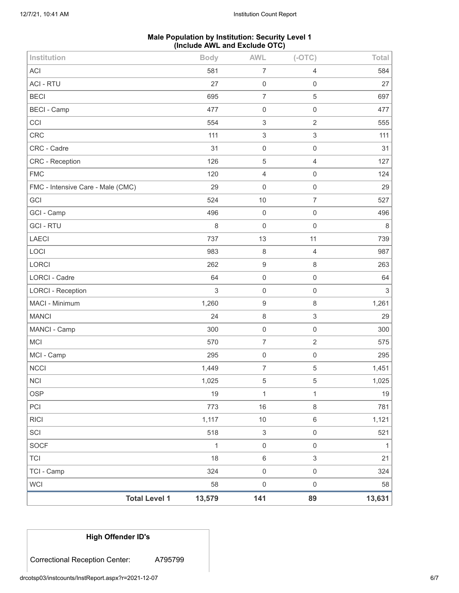# **Male Population by Institution: Security Level 1 (Include AWL and Exclude OTC)**

| Institution                       | <b>Body</b>                    | <b>AWL</b>                | $(-OTC)$                  | Total                     |
|-----------------------------------|--------------------------------|---------------------------|---------------------------|---------------------------|
| <b>ACI</b>                        | 581                            | $\overline{7}$            | $\overline{4}$            | 584                       |
| <b>ACI - RTU</b>                  | 27                             | $\boldsymbol{0}$          | $\mathsf{O}\xspace$       | 27                        |
| <b>BECI</b>                       | 695                            | $\overline{7}$            | $\mathbf 5$               | 697                       |
| <b>BECI - Camp</b>                | 477                            | $\mathbf 0$               | $\mathsf{O}\xspace$       | 477                       |
| CCI                               | 554                            | 3                         | $\overline{2}$            | 555                       |
| CRC                               | 111                            | 3                         | $\ensuremath{\mathsf{3}}$ | 111                       |
| CRC - Cadre                       | 31                             | $\boldsymbol{0}$          | $\mathsf 0$               | 31                        |
| <b>CRC</b> - Reception            | 126                            | 5                         | $\overline{4}$            | 127                       |
| <b>FMC</b>                        | 120                            | 4                         | $\mathbf 0$               | 124                       |
| FMC - Intensive Care - Male (CMC) | 29                             | $\mathbf 0$               | $\mathsf{O}\xspace$       | 29                        |
| GCI                               | 524                            | 10                        | $\overline{7}$            | 527                       |
| GCI - Camp                        | 496                            | $\,0\,$                   | $\mathsf{O}\xspace$       | 496                       |
| <b>GCI-RTU</b>                    | 8                              | $\boldsymbol{0}$          | $\mathsf 0$               | $\,8\,$                   |
| <b>LAECI</b>                      | 737                            | 13                        | 11                        | 739                       |
| LOCI                              | 983                            | 8                         | $\overline{4}$            | 987                       |
| LORCI                             | 262                            | $\boldsymbol{9}$          | $\,8\,$                   | 263                       |
| <b>LORCI - Cadre</b>              | 64                             | $\mathbf 0$               | $\mathsf{O}\xspace$       | 64                        |
| <b>LORCI - Reception</b>          | 3                              | $\boldsymbol{0}$          | $\mathbf 0$               | $\ensuremath{\mathsf{3}}$ |
| MACI - Minimum                    | 1,260                          | $\boldsymbol{9}$          | $\,8\,$                   | 1,261                     |
| <b>MANCI</b>                      | 24                             | 8                         | $\ensuremath{\mathsf{3}}$ | 29                        |
| MANCI - Camp                      | 300                            | $\mathbf 0$               | $\mathsf{O}\xspace$       | 300                       |
| <b>MCI</b>                        | 570                            | 7                         | $\sqrt{2}$                | 575                       |
| MCI - Camp                        | 295                            | $\boldsymbol{0}$          | $\mathsf 0$               | 295                       |
| <b>NCCI</b>                       | 1,449                          | 7                         | 5                         | 1,451                     |
| <b>NCI</b>                        | 1,025                          | $\sqrt{5}$                | 5                         | 1,025                     |
| <b>OSP</b>                        | 19                             | 1                         | $\mathbf{1}$              | 19                        |
| PCI                               | 773                            | 16                        | $\,8\,$                   | 781                       |
| <b>RICI</b>                       | 1,117                          | $10$                      | $\,6\,$                   | 1,121                     |
| SCI                               | 518                            | $\ensuremath{\mathsf{3}}$ | $\mathsf{O}\xspace$       | 521                       |
| <b>SOCF</b>                       | $\mathbf{1}$                   | $\mathsf{O}\xspace$       | $\mathsf{O}\xspace$       | $\mathbf{1}$              |
| <b>TCI</b>                        | 18                             | $\,6\,$                   | 3                         | 21                        |
| TCI - Camp                        | 324                            | $\mathsf{O}\xspace$       | $\mathsf{O}\xspace$       | 324                       |
| <b>WCI</b>                        | 58                             | $\mathsf 0$               | $\mathsf{O}\xspace$       | 58                        |
|                                   | <b>Total Level 1</b><br>13,579 | 141                       | 89                        | 13,631                    |

```
High Offender ID's
```
Correctional Reception Center: A795799

drcotsp03/instcounts/InstReport.aspx?r=2021-12-07 6/7